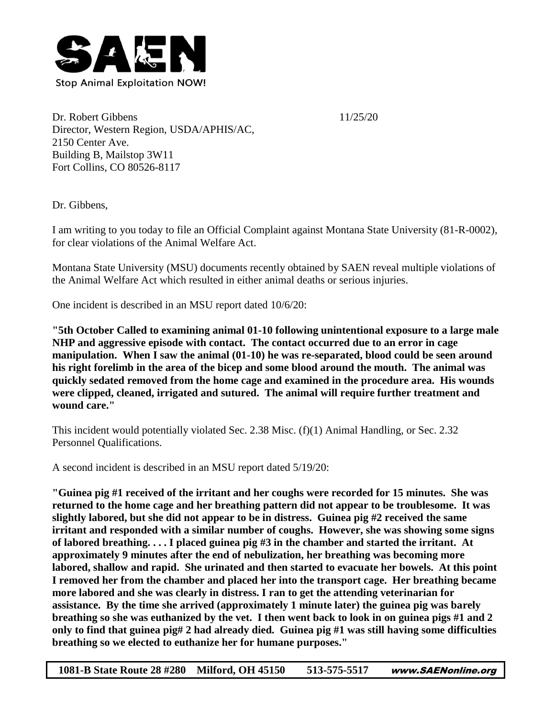

Dr. Robert Gibbens 11/25/20 Director, Western Region, USDA/APHIS/AC, 2150 Center Ave. Building B, Mailstop 3W11 Fort Collins, CO 80526-8117

Dr. Gibbens,

I am writing to you today to file an Official Complaint against Montana State University (81-R-0002), for clear violations of the Animal Welfare Act.

Montana State University (MSU) documents recently obtained by SAEN reveal multiple violations of the Animal Welfare Act which resulted in either animal deaths or serious injuries.

One incident is described in an MSU report dated 10/6/20:

**"5th October Called to examining animal 01-10 following unintentional exposure to a large male NHP and aggressive episode with contact. The contact occurred due to an error in cage manipulation. When I saw the animal (01-10) he was re-separated, blood could be seen around his right forelimb in the area of the bicep and some blood around the mouth. The animal was quickly sedated removed from the home cage and examined in the procedure area. His wounds were clipped, cleaned, irrigated and sutured. The animal will require further treatment and wound care."**

This incident would potentially violated Sec. 2.38 Misc. (f)(1) Animal Handling, or Sec. 2.32 Personnel Qualifications.

A second incident is described in an MSU report dated 5/19/20:

**"Guinea pig #1 received of the irritant and her coughs were recorded for 15 minutes. She was returned to the home cage and her breathing pattern did not appear to be troublesome. It was slightly labored, but she did not appear to be in distress. Guinea pig #2 received the same irritant and responded with a similar number of coughs. However, she was showing some signs of labored breathing. . . . I placed guinea pig #3 in the chamber and started the irritant. At approximately 9 minutes after the end of nebulization, her breathing was becoming more labored, shallow and rapid. She urinated and then started to evacuate her bowels. At this point I removed her from the chamber and placed her into the transport cage. Her breathing became more labored and she was clearly in distress. I ran to get the attending veterinarian for assistance. By the time she arrived (approximately 1 minute later) the guinea pig was barely breathing so she was euthanized by the vet. I then went back to look in on guinea pigs #1 and 2 only to find that guinea pig# 2 had already died. Guinea pig #1 was still having some difficulties breathing so we elected to euthanize her for humane purposes."**

**1081-B State Route 28 #280 Milford, OH 45150 513-575-5517** www.SAENonline.org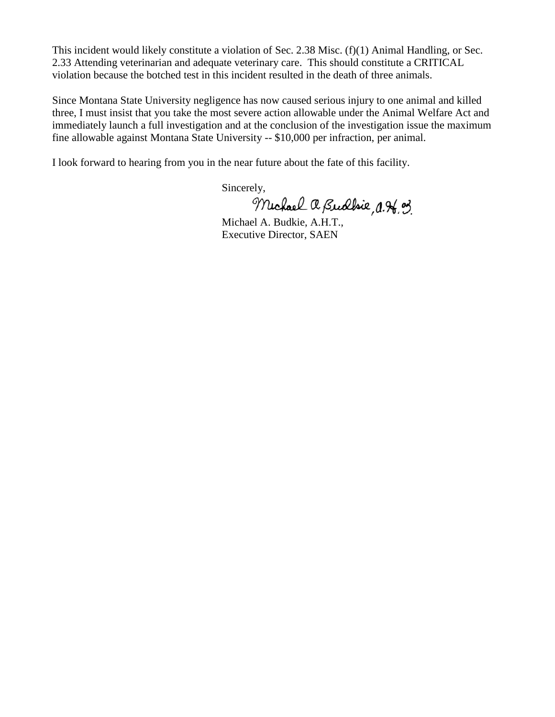This incident would likely constitute a violation of Sec. 2.38 Misc. (f)(1) Animal Handling, or Sec. 2.33 Attending veterinarian and adequate veterinary care. This should constitute a CRITICAL violation because the botched test in this incident resulted in the death of three animals.

Since Montana State University negligence has now caused serious injury to one animal and killed three, I must insist that you take the most severe action allowable under the Animal Welfare Act and immediately launch a full investigation and at the conclusion of the investigation issue the maximum fine allowable against Montana State University -- \$10,000 per infraction, per animal.

I look forward to hearing from you in the near future about the fate of this facility.

Sincerely,

Michael a Budbie, a. A. of

Michael A. Budkie, A.H.T., Executive Director, SAEN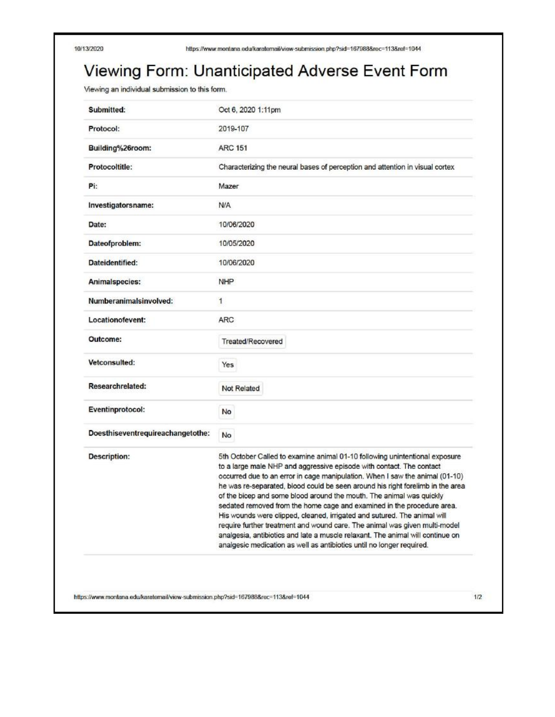## Viewing Form: Unanticipated Adverse Event Form

Viewing an individual submission to this form.

| Submitted:                        | Oct 6, 2020 1:11pm                                                                                                                                                                                                                                                                                                                                                                                                                                                                                                                                                                                                                                                                                                                                                                           |
|-----------------------------------|----------------------------------------------------------------------------------------------------------------------------------------------------------------------------------------------------------------------------------------------------------------------------------------------------------------------------------------------------------------------------------------------------------------------------------------------------------------------------------------------------------------------------------------------------------------------------------------------------------------------------------------------------------------------------------------------------------------------------------------------------------------------------------------------|
| Protocol:                         | 2019-107                                                                                                                                                                                                                                                                                                                                                                                                                                                                                                                                                                                                                                                                                                                                                                                     |
| Building%26room:                  | <b>ARC 151</b>                                                                                                                                                                                                                                                                                                                                                                                                                                                                                                                                                                                                                                                                                                                                                                               |
| Protocoltitle:                    | Characterizing the neural bases of perception and attention in visual cortex                                                                                                                                                                                                                                                                                                                                                                                                                                                                                                                                                                                                                                                                                                                 |
| Pi:                               | Mazer                                                                                                                                                                                                                                                                                                                                                                                                                                                                                                                                                                                                                                                                                                                                                                                        |
| Investigatorsname:                | <b>N/A</b>                                                                                                                                                                                                                                                                                                                                                                                                                                                                                                                                                                                                                                                                                                                                                                                   |
| Date:                             | 10/06/2020                                                                                                                                                                                                                                                                                                                                                                                                                                                                                                                                                                                                                                                                                                                                                                                   |
| Dateofproblem:                    | 10/05/2020                                                                                                                                                                                                                                                                                                                                                                                                                                                                                                                                                                                                                                                                                                                                                                                   |
| Dateidentified:                   | 10/06/2020                                                                                                                                                                                                                                                                                                                                                                                                                                                                                                                                                                                                                                                                                                                                                                                   |
| Animalspecies:                    | <b>NHP</b>                                                                                                                                                                                                                                                                                                                                                                                                                                                                                                                                                                                                                                                                                                                                                                                   |
| Numberanimalsinvolved:            | 1                                                                                                                                                                                                                                                                                                                                                                                                                                                                                                                                                                                                                                                                                                                                                                                            |
| Locationofevent:                  | ARC                                                                                                                                                                                                                                                                                                                                                                                                                                                                                                                                                                                                                                                                                                                                                                                          |
| Outcome:                          | Treated/Recovered                                                                                                                                                                                                                                                                                                                                                                                                                                                                                                                                                                                                                                                                                                                                                                            |
| Vetconsulted:                     | Yes                                                                                                                                                                                                                                                                                                                                                                                                                                                                                                                                                                                                                                                                                                                                                                                          |
| Researchrelated:                  | Not Related                                                                                                                                                                                                                                                                                                                                                                                                                                                                                                                                                                                                                                                                                                                                                                                  |
| Eventinprotocol:                  | No                                                                                                                                                                                                                                                                                                                                                                                                                                                                                                                                                                                                                                                                                                                                                                                           |
| Doesthiseventrequireachangetothe: | No                                                                                                                                                                                                                                                                                                                                                                                                                                                                                                                                                                                                                                                                                                                                                                                           |
| <b>Description:</b>               | 5th October Called to examine animal 01-10 following unintentional exposure<br>to a large male NHP and aggressive episode with contact. The contact<br>occurred due to an error in cage manipulation. When I saw the animal (01-10)<br>he was re-separated, blood could be seen around his right forelimb in the area<br>of the bicep and some blood around the mouth. The animal was quickly<br>sedated removed from the home cage and examined in the procedure area.<br>His wounds were clipped, cleaned, irrigated and sutured. The animal will<br>require further treatment and wound care. The animal was given multi-model<br>analgesia, antibiotics and late a muscle relaxant. The animal will continue on<br>analgesic medication as well as antibiotics until no longer required. |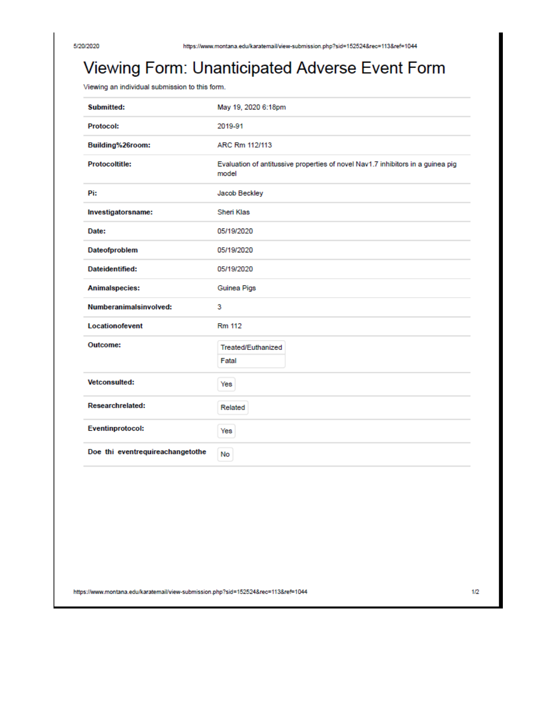## Viewing Form: Unanticipated Adverse Event Form

Viewing an individual submission to this form.

| <b>Submitted:</b>                | May 19, 2020 6:18pm                                                                      |
|----------------------------------|------------------------------------------------------------------------------------------|
| <b>Protocol:</b>                 | 2019-91                                                                                  |
| Building%26room:                 | ARC Rm 112/113                                                                           |
| <b>Protocoltitle:</b>            | Evaluation of antitussive properties of novel Nav1.7 inhibitors in a guinea pig<br>model |
| Pi:                              | Jacob Beckley                                                                            |
| Investigatorsname:               | Sheri Klas                                                                               |
| Date:                            | 05/19/2020                                                                               |
| Dateofproblem                    | 05/19/2020                                                                               |
| Dateidentified:                  | 05/19/2020                                                                               |
| Animalspecies:                   | Guinea Pigs                                                                              |
| Numberanimalsinvolved:           | 3                                                                                        |
| Locationofevent                  | <b>Rm 112</b>                                                                            |
| Outcome:                         | Treated/Euthanized<br>Fatal                                                              |
| <b>Vetconsulted:</b>             | Yes                                                                                      |
| <b>Researchrelated:</b>          | Related                                                                                  |
| <b>Eventinprotocol:</b>          | Yes                                                                                      |
| Doe thi eventrequireachangetothe | No                                                                                       |

https://www.montana.edu/karatemail/view-submission.php?sid=152524&rec=113&ref=1044